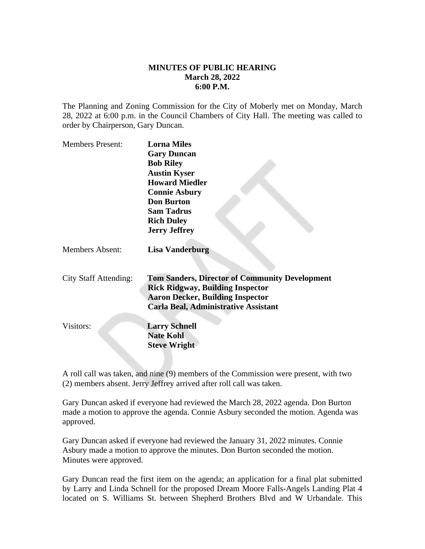## **MINUTES OF PUBLIC HEARING March 28, 2022 6:00 P.M.**

The Planning and Zoning Commission for the City of Moberly met on Monday, March 28, 2022 at 6:00 p.m. in the Council Chambers of City Hall. The meeting was called to order by Chairperson, Gary Duncan.

| <b>Members Present:</b>      | <b>Lorna Miles</b>                                    |
|------------------------------|-------------------------------------------------------|
|                              | <b>Gary Duncan</b>                                    |
|                              | <b>Bob Riley</b>                                      |
|                              | <b>Austin Kyser</b>                                   |
|                              | <b>Howard Miedler</b>                                 |
|                              | <b>Connie Asbury</b>                                  |
|                              | <b>Don Burton</b>                                     |
|                              | <b>Sam Tadrus</b>                                     |
|                              | <b>Rich Duley</b>                                     |
|                              | <b>Jerry Jeffrey</b>                                  |
| <b>Members Absent:</b>       | <b>Lisa Vanderburg</b>                                |
| <b>City Staff Attending:</b> | <b>Tom Sanders, Director of Community Development</b> |
|                              | <b>Rick Ridgway, Building Inspector</b>               |
|                              | <b>Aaron Decker, Building Inspector</b>               |
|                              | <b>Carla Beal, Administrative Assistant</b>           |
|                              |                                                       |
| Visitors:                    |                                                       |
|                              | <b>Larry Schnell</b>                                  |
|                              | <b>Nate Kohl</b>                                      |
|                              | <b>Steve Wright</b>                                   |

A roll call was taken, and nine (9) members of the Commission were present, with two (2) members absent. Jerry Jeffrey arrived after roll call was taken.

Gary Duncan asked if everyone had reviewed the March 28, 2022 agenda. Don Burton made a motion to approve the agenda. Connie Asbury seconded the motion. Agenda was approved.

Gary Duncan asked if everyone had reviewed the January 31, 2022 minutes. Connie Asbury made a motion to approve the minutes. Don Burton seconded the motion. Minutes were approved.

Gary Duncan read the first item on the agenda; an application for a final plat submitted by Larry and Linda Schnell for the proposed Dream Moore Falls-Angels Landing Plat 4 located on S. Williams St. between Shepherd Brothers Blvd and W Urbandale. This